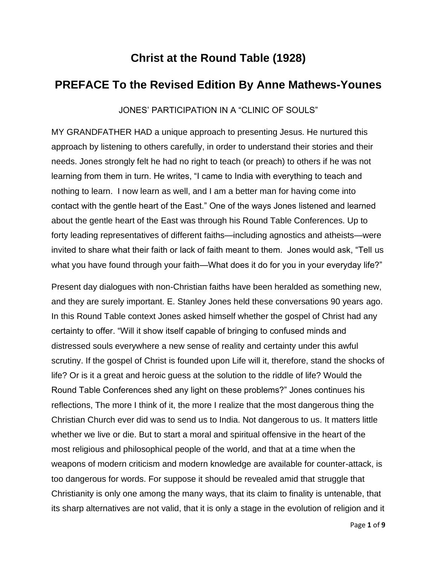## **Christ at the Round Table (1928)**

## **PREFACE To the Revised Edition By Anne Mathews-Younes**

JONES' PARTICIPATION IN A "CLINIC OF SOULS"

MY GRANDFATHER HAD a unique approach to presenting Jesus. He nurtured this approach by listening to others carefully, in order to understand their stories and their needs. Jones strongly felt he had no right to teach (or preach) to others if he was not learning from them in turn. He writes, "I came to India with everything to teach and nothing to learn. I now learn as well, and I am a better man for having come into contact with the gentle heart of the East." One of the ways Jones listened and learned about the gentle heart of the East was through his Round Table Conferences. Up to forty leading representatives of different faiths—including agnostics and atheists—were invited to share what their faith or lack of faith meant to them. Jones would ask, "Tell us what you have found through your faith—What does it do for you in your everyday life?"

Present day dialogues with non-Christian faiths have been heralded as something new, and they are surely important. E. Stanley Jones held these conversations 90 years ago. In this Round Table context Jones asked himself whether the gospel of Christ had any certainty to offer. "Will it show itself capable of bringing to confused minds and distressed souls everywhere a new sense of reality and certainty under this awful scrutiny. If the gospel of Christ is founded upon Life will it, therefore, stand the shocks of life? Or is it a great and heroic guess at the solution to the riddle of life? Would the Round Table Conferences shed any light on these problems?" Jones continues his reflections, The more I think of it, the more I realize that the most dangerous thing the Christian Church ever did was to send us to India. Not dangerous to us. It matters little whether we live or die. But to start a moral and spiritual offensive in the heart of the most religious and philosophical people of the world, and that at a time when the weapons of modern criticism and modern knowledge are available for counter-attack, is too dangerous for words. For suppose it should be revealed amid that struggle that Christianity is only one among the many ways, that its claim to finality is untenable, that its sharp alternatives are not valid, that it is only a stage in the evolution of religion and it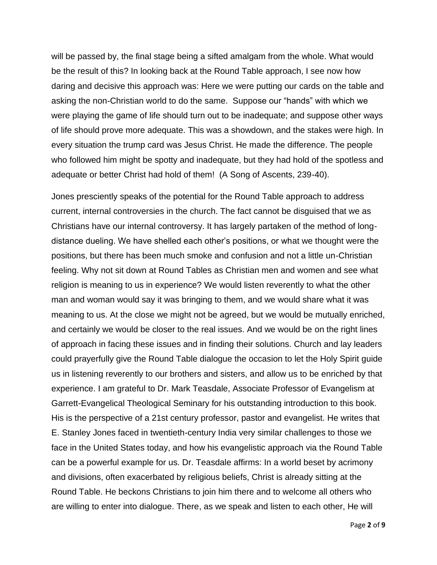will be passed by, the final stage being a sifted amalgam from the whole. What would be the result of this? In looking back at the Round Table approach, I see now how daring and decisive this approach was: Here we were putting our cards on the table and asking the non-Christian world to do the same. Suppose our "hands" with which we were playing the game of life should turn out to be inadequate; and suppose other ways of life should prove more adequate. This was a showdown, and the stakes were high. In every situation the trump card was Jesus Christ. He made the difference. The people who followed him might be spotty and inadequate, but they had hold of the spotless and adequate or better Christ had hold of them! (A Song of Ascents, 239-40).

Jones presciently speaks of the potential for the Round Table approach to address current, internal controversies in the church. The fact cannot be disguised that we as Christians have our internal controversy. It has largely partaken of the method of longdistance dueling. We have shelled each other's positions, or what we thought were the positions, but there has been much smoke and confusion and not a little un-Christian feeling. Why not sit down at Round Tables as Christian men and women and see what religion is meaning to us in experience? We would listen reverently to what the other man and woman would say it was bringing to them, and we would share what it was meaning to us. At the close we might not be agreed, but we would be mutually enriched, and certainly we would be closer to the real issues. And we would be on the right lines of approach in facing these issues and in finding their solutions. Church and lay leaders could prayerfully give the Round Table dialogue the occasion to let the Holy Spirit guide us in listening reverently to our brothers and sisters, and allow us to be enriched by that experience. I am grateful to Dr. Mark Teasdale, Associate Professor of Evangelism at Garrett-Evangelical Theological Seminary for his outstanding introduction to this book. His is the perspective of a 21st century professor, pastor and evangelist. He writes that E. Stanley Jones faced in twentieth-century India very similar challenges to those we face in the United States today, and how his evangelistic approach via the Round Table can be a powerful example for us. Dr. Teasdale affirms: In a world beset by acrimony and divisions, often exacerbated by religious beliefs, Christ is already sitting at the Round Table. He beckons Christians to join him there and to welcome all others who are willing to enter into dialogue. There, as we speak and listen to each other, He will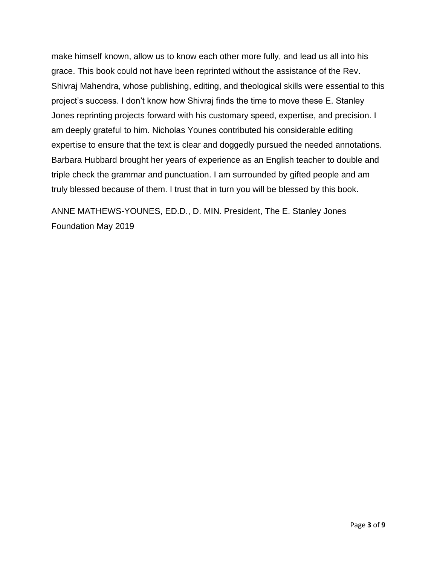make himself known, allow us to know each other more fully, and lead us all into his grace. This book could not have been reprinted without the assistance of the Rev. Shivraj Mahendra, whose publishing, editing, and theological skills were essential to this project's success. I don't know how Shivraj finds the time to move these E. Stanley Jones reprinting projects forward with his customary speed, expertise, and precision. I am deeply grateful to him. Nicholas Younes contributed his considerable editing expertise to ensure that the text is clear and doggedly pursued the needed annotations. Barbara Hubbard brought her years of experience as an English teacher to double and triple check the grammar and punctuation. I am surrounded by gifted people and am truly blessed because of them. I trust that in turn you will be blessed by this book.

ANNE MATHEWS-YOUNES, ED.D., D. MIN. President, The E. Stanley Jones Foundation May 2019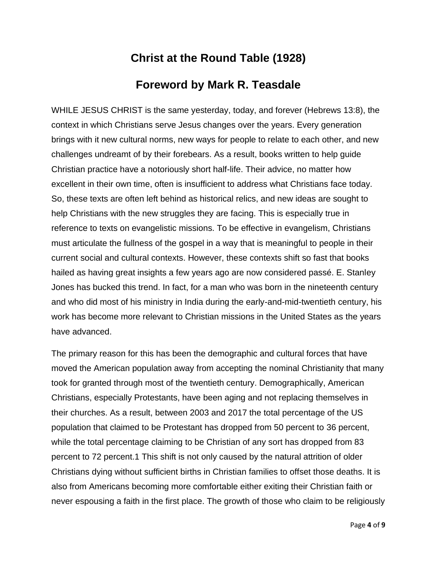## **Christ at the Round Table (1928)**

## **Foreword by Mark R. Teasdale**

WHILE JESUS CHRIST is the same yesterday, today, and forever (Hebrews 13:8), the context in which Christians serve Jesus changes over the years. Every generation brings with it new cultural norms, new ways for people to relate to each other, and new challenges undreamt of by their forebears. As a result, books written to help guide Christian practice have a notoriously short half-life. Their advice, no matter how excellent in their own time, often is insufficient to address what Christians face today. So, these texts are often left behind as historical relics, and new ideas are sought to help Christians with the new struggles they are facing. This is especially true in reference to texts on evangelistic missions. To be effective in evangelism, Christians must articulate the fullness of the gospel in a way that is meaningful to people in their current social and cultural contexts. However, these contexts shift so fast that books hailed as having great insights a few years ago are now considered passé. E. Stanley Jones has bucked this trend. In fact, for a man who was born in the nineteenth century and who did most of his ministry in India during the early-and-mid-twentieth century, his work has become more relevant to Christian missions in the United States as the years have advanced.

The primary reason for this has been the demographic and cultural forces that have moved the American population away from accepting the nominal Christianity that many took for granted through most of the twentieth century. Demographically, American Christians, especially Protestants, have been aging and not replacing themselves in their churches. As a result, between 2003 and 2017 the total percentage of the US population that claimed to be Protestant has dropped from 50 percent to 36 percent, while the total percentage claiming to be Christian of any sort has dropped from 83 percent to 72 percent.1 This shift is not only caused by the natural attrition of older Christians dying without sufficient births in Christian families to offset those deaths. It is also from Americans becoming more comfortable either exiting their Christian faith or never espousing a faith in the first place. The growth of those who claim to be religiously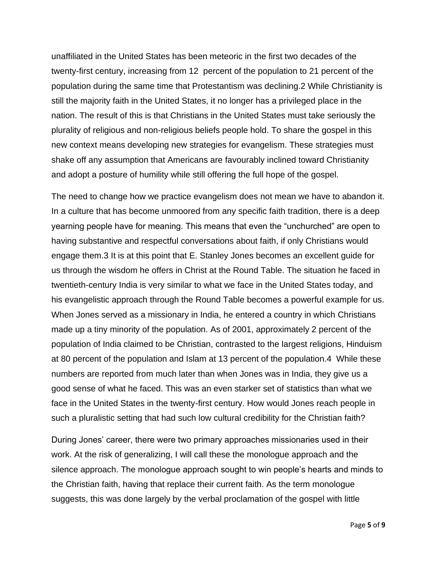unaffiliated in the United States has been meteoric in the first two decades of the twenty-first century, increasing from 12 percent of the population to 21 percent of the population during the same time that Protestantism was declining.2 While Christianity is still the majority faith in the United States, it no longer has a privileged place in the nation. The result of this is that Christians in the United States must take seriously the plurality of religious and non-religious beliefs people hold. To share the gospel in this new context means developing new strategies for evangelism. These strategies must shake off any assumption that Americans are favourably inclined toward Christianity and adopt a posture of humility while still offering the full hope of the gospel.

The need to change how we practice evangelism does not mean we have to abandon it. In a culture that has become unmoored from any specific faith tradition, there is a deep yearning people have for meaning. This means that even the "unchurched" are open to having substantive and respectful conversations about faith, if only Christians would engage them.3 It is at this point that E. Stanley Jones becomes an excellent guide for us through the wisdom he offers in Christ at the Round Table. The situation he faced in twentieth-century India is very similar to what we face in the United States today, and his evangelistic approach through the Round Table becomes a powerful example for us. When Jones served as a missionary in India, he entered a country in which Christians made up a tiny minority of the population. As of 2001, approximately 2 percent of the population of India claimed to be Christian, contrasted to the largest religions, Hinduism at 80 percent of the population and Islam at 13 percent of the population.4 While these numbers are reported from much later than when Jones was in India, they give us a good sense of what he faced. This was an even starker set of statistics than what we face in the United States in the twenty-first century. How would Jones reach people in such a pluralistic setting that had such low cultural credibility for the Christian faith?

During Jones' career, there were two primary approaches missionaries used in their work. At the risk of generalizing, I will call these the monologue approach and the silence approach. The monologue approach sought to win people's hearts and minds to the Christian faith, having that replace their current faith. As the term monologue suggests, this was done largely by the verbal proclamation of the gospel with little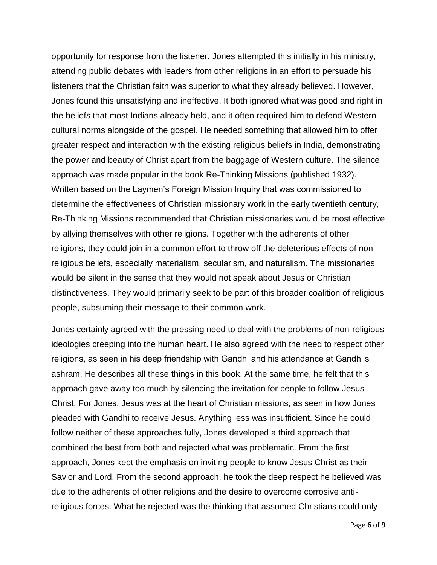opportunity for response from the listener. Jones attempted this initially in his ministry, attending public debates with leaders from other religions in an effort to persuade his listeners that the Christian faith was superior to what they already believed. However, Jones found this unsatisfying and ineffective. It both ignored what was good and right in the beliefs that most Indians already held, and it often required him to defend Western cultural norms alongside of the gospel. He needed something that allowed him to offer greater respect and interaction with the existing religious beliefs in India, demonstrating the power and beauty of Christ apart from the baggage of Western culture. The silence approach was made popular in the book Re-Thinking Missions (published 1932). Written based on the Laymen's Foreign Mission Inquiry that was commissioned to determine the effectiveness of Christian missionary work in the early twentieth century, Re-Thinking Missions recommended that Christian missionaries would be most effective by allying themselves with other religions. Together with the adherents of other religions, they could join in a common effort to throw off the deleterious effects of nonreligious beliefs, especially materialism, secularism, and naturalism. The missionaries would be silent in the sense that they would not speak about Jesus or Christian distinctiveness. They would primarily seek to be part of this broader coalition of religious people, subsuming their message to their common work.

Jones certainly agreed with the pressing need to deal with the problems of non-religious ideologies creeping into the human heart. He also agreed with the need to respect other religions, as seen in his deep friendship with Gandhi and his attendance at Gandhi's ashram. He describes all these things in this book. At the same time, he felt that this approach gave away too much by silencing the invitation for people to follow Jesus Christ. For Jones, Jesus was at the heart of Christian missions, as seen in how Jones pleaded with Gandhi to receive Jesus. Anything less was insufficient. Since he could follow neither of these approaches fully, Jones developed a third approach that combined the best from both and rejected what was problematic. From the first approach, Jones kept the emphasis on inviting people to know Jesus Christ as their Savior and Lord. From the second approach, he took the deep respect he believed was due to the adherents of other religions and the desire to overcome corrosive antireligious forces. What he rejected was the thinking that assumed Christians could only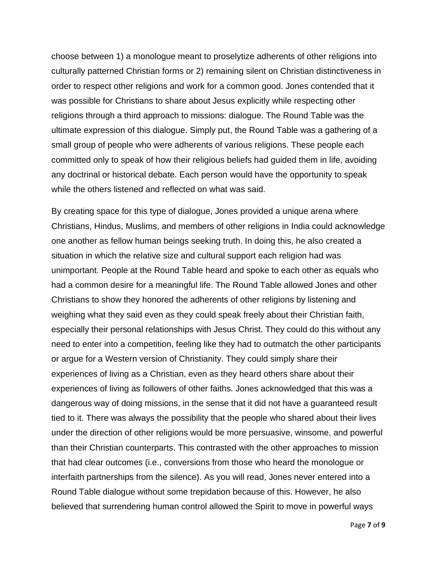choose between 1) a monologue meant to proselytize adherents of other religions into culturally patterned Christian forms or 2) remaining silent on Christian distinctiveness in order to respect other religions and work for a common good. Jones contended that it was possible for Christians to share about Jesus explicitly while respecting other religions through a third approach to missions: dialogue. The Round Table was the ultimate expression of this dialogue. Simply put, the Round Table was a gathering of a small group of people who were adherents of various religions. These people each committed only to speak of how their religious beliefs had guided them in life, avoiding any doctrinal or historical debate. Each person would have the opportunity to speak while the others listened and reflected on what was said.

By creating space for this type of dialogue, Jones provided a unique arena where Christians, Hindus, Muslims, and members of other religions in India could acknowledge one another as fellow human beings seeking truth. In doing this, he also created a situation in which the relative size and cultural support each religion had was unimportant. People at the Round Table heard and spoke to each other as equals who had a common desire for a meaningful life. The Round Table allowed Jones and other Christians to show they honored the adherents of other religions by listening and weighing what they said even as they could speak freely about their Christian faith, especially their personal relationships with Jesus Christ. They could do this without any need to enter into a competition, feeling like they had to outmatch the other participants or argue for a Western version of Christianity. They could simply share their experiences of living as a Christian, even as they heard others share about their experiences of living as followers of other faiths. Jones acknowledged that this was a dangerous way of doing missions, in the sense that it did not have a guaranteed result tied to it. There was always the possibility that the people who shared about their lives under the direction of other religions would be more persuasive, winsome, and powerful than their Christian counterparts. This contrasted with the other approaches to mission that had clear outcomes (i.e., conversions from those who heard the monologue or interfaith partnerships from the silence). As you will read, Jones never entered into a Round Table dialogue without some trepidation because of this. However, he also believed that surrendering human control allowed the Spirit to move in powerful ways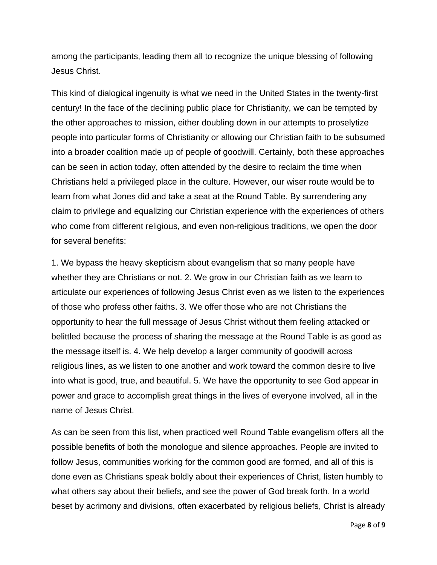among the participants, leading them all to recognize the unique blessing of following Jesus Christ.

This kind of dialogical ingenuity is what we need in the United States in the twenty-first century! In the face of the declining public place for Christianity, we can be tempted by the other approaches to mission, either doubling down in our attempts to proselytize people into particular forms of Christianity or allowing our Christian faith to be subsumed into a broader coalition made up of people of goodwill. Certainly, both these approaches can be seen in action today, often attended by the desire to reclaim the time when Christians held a privileged place in the culture. However, our wiser route would be to learn from what Jones did and take a seat at the Round Table. By surrendering any claim to privilege and equalizing our Christian experience with the experiences of others who come from different religious, and even non-religious traditions, we open the door for several benefits:

1. We bypass the heavy skepticism about evangelism that so many people have whether they are Christians or not. 2. We grow in our Christian faith as we learn to articulate our experiences of following Jesus Christ even as we listen to the experiences of those who profess other faiths. 3. We offer those who are not Christians the opportunity to hear the full message of Jesus Christ without them feeling attacked or belittled because the process of sharing the message at the Round Table is as good as the message itself is. 4. We help develop a larger community of goodwill across religious lines, as we listen to one another and work toward the common desire to live into what is good, true, and beautiful. 5. We have the opportunity to see God appear in power and grace to accomplish great things in the lives of everyone involved, all in the name of Jesus Christ.

As can be seen from this list, when practiced well Round Table evangelism offers all the possible benefits of both the monologue and silence approaches. People are invited to follow Jesus, communities working for the common good are formed, and all of this is done even as Christians speak boldly about their experiences of Christ, listen humbly to what others say about their beliefs, and see the power of God break forth. In a world beset by acrimony and divisions, often exacerbated by religious beliefs, Christ is already